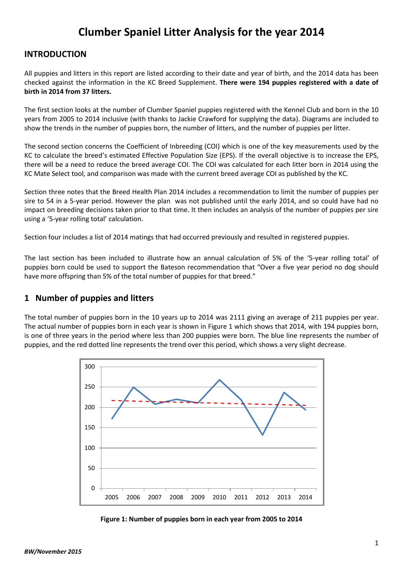# **Clumber Spaniel Litter Analysis for the year 2014**

### **INTRODUCTION**

All puppies and litters in this report are listed according to their date and year of birth, and the 2014 data has been checked against the information in the KC Breed Supplement. **There were 194 puppies registered with a date of birth in 2014 from 37 litters.**

The first section looks at the number of Clumber Spaniel puppies registered with the Kennel Club and born in the 10 years from 2005 to 2014 inclusive (with thanks to Jackie Crawford for supplying the data). Diagrams are included to show the trends in the number of puppies born, the number of litters, and the number of puppies per litter.

The second section concerns the Coefficient of Inbreeding (COI) which is one of the key measurements used by the KC to calculate the breed's estimated Effective Population Size (EPS). If the overall objective is to increase the EPS, there will be a need to reduce the breed average COI. The COI was calculated for each litter born in 2014 using the KC Mate Select tool, and comparison was made with the current breed average COI as published by the KC.

Section three notes that the Breed Health Plan 2014 includes a recommendation to limit the number of puppies per sire to 54 in a 5-year period. However the plan was not published until the early 2014, and so could have had no impact on breeding decisions taken prior to that time. It then includes an analysis of the number of puppies per sire using a '5-year rolling total' calculation.

Section four includes a list of 2014 matings that had occurred previously and resulted in registered puppies.

The last section has been included to illustrate how an annual calculation of 5% of the '5-year rolling total' of puppies born could be used to support the Bateson recommendation that "Over a five year period no dog should have more offspring than 5% of the total number of puppies for that breed."

### **1 Number of puppies and litters**

The total number of puppies born in the 10 years up to 2014 was 2111 giving an average of 211 puppies per year. The actual number of puppies born in each year is shown in Figure 1 which shows that 2014, with 194 puppies born, is one of three years in the period where less than 200 puppies were born. The blue line represents the number of puppies, and the red dotted line represents the trend over this period, which shows a very slight decrease.



**Figure 1: Number of puppies born in each year from 2005 to 2014**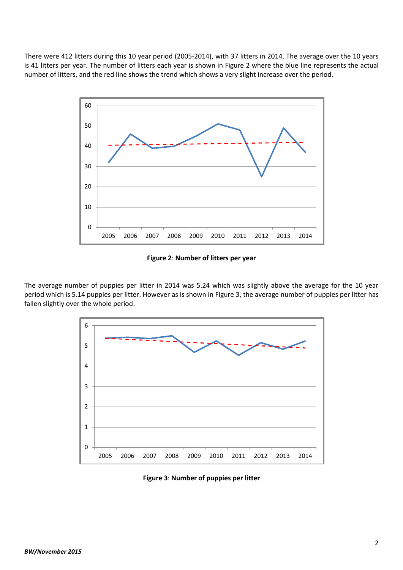There were 412 litters during this 10 year period (2005-2014), with 37 litters in 2014. The average over the 10 years is 41 litters per year. The number of litters each year is shown in Figure 2 where the blue line represents the actual number of litters, and the red line shows the trend which shows a very slight increase over the period.



**Figure 2**: **Number of litters per year**

The average number of puppies per litter in 2014 was 5.24 which was slightly above the average for the 10 year period which is 5.14 puppies per litter. However as is shown in Figure 3, the average number of puppies per litter has fallen slightly over the whole period.



**Figure 3**: **Number of puppies per litter**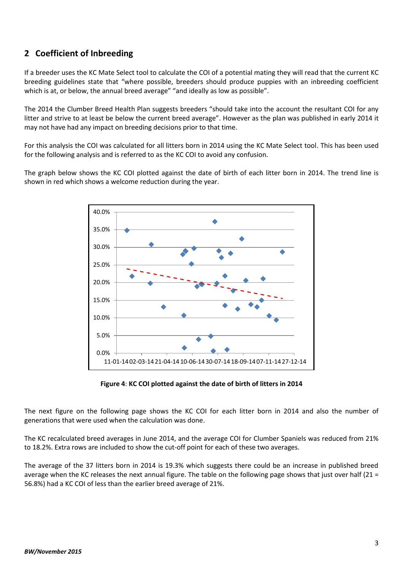# **2 Coefficient of Inbreeding**

If a breeder uses the KC Mate Select tool to calculate the COI of a potential mating they will read that the current KC breeding guidelines state that "where possible, breeders should produce puppies with an inbreeding coefficient which is at, or below, the annual breed average" "and ideally as low as possible".

The 2014 the Clumber Breed Health Plan suggests breeders "should take into the account the resultant COI for any litter and strive to at least be below the current breed average". However as the plan was published in early 2014 it may not have had any impact on breeding decisions prior to that time.

For this analysis the COI was calculated for all litters born in 2014 using the KC Mate Select tool. This has been used for the following analysis and is referred to as the KC COI to avoid any confusion.

The graph below shows the KC COI plotted against the date of birth of each litter born in 2014. The trend line is shown in red which shows a welcome reduction during the year.



**Figure 4**: **KC COI plotted against the date of birth of litters in 2014**

The next figure on the following page shows the KC COI for each litter born in 2014 and also the number of generations that were used when the calculation was done.

The KC recalculated breed averages in June 2014, and the average COI for Clumber Spaniels was reduced from 21% to 18.2%. Extra rows are included to show the cut-off point for each of these two averages.

The average of the 37 litters born in 2014 is 19.3% which suggests there could be an increase in published breed average when the KC releases the next annual figure. The table on the following page shows that just over half (21 = 56.8%) had a KC COI of less than the earlier breed average of 21%.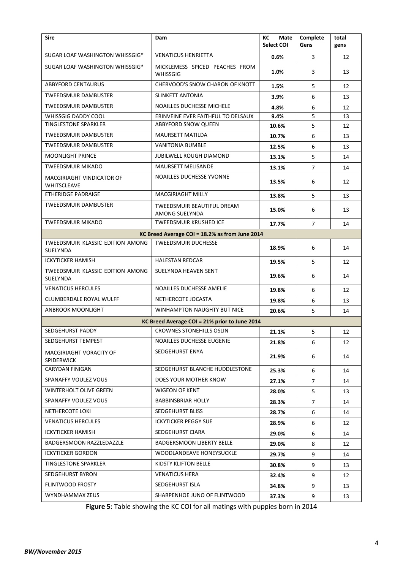| <b>Sire</b>                                         | Dam                                               | КC<br>Mate<br>Select COI | Complete<br>Gens | total<br>gens |  |  |  |  |  |  |
|-----------------------------------------------------|---------------------------------------------------|--------------------------|------------------|---------------|--|--|--|--|--|--|
| SUGAR LOAF WASHINGTON WHISSGIG*                     | <b>VENATICUS HENRIETTA</b>                        | 0.6%                     | 3                | 12            |  |  |  |  |  |  |
| SUGAR LOAF WASHINGTON WHISSGIG*                     | MICKLEMESS SPICED PEACHES FROM<br><b>WHISSGIG</b> | 1.0%                     | 3                | 13            |  |  |  |  |  |  |
| <b>ABBYFORD CENTAURUS</b>                           | CHERVOOD'S SNOW CHARON OF KNOTT                   | 1.5%                     | 5                | 12            |  |  |  |  |  |  |
| <b>TWEEDSMUIR DAMBUSTER</b>                         | SLINKETT ANTONIA                                  | 3.9%                     | 6                | 13            |  |  |  |  |  |  |
| TWEEDSMUIR DAMBUSTER                                | NOAILLES DUCHESSE MICHELE                         | 4.8%                     | 6                | 12            |  |  |  |  |  |  |
| <b>WHISSGIG DADDY COOL</b>                          | ERINVEINE EVER FAITHFUL TO DELSAUX                | 9.4%                     | 5                | 13            |  |  |  |  |  |  |
| <b>TINGLESTONE SPARKLER</b>                         | <b>ABBYFORD SNOW QUEEN</b>                        | 10.6%                    | 5                | 12            |  |  |  |  |  |  |
| TWEEDSMUIR DAMBUSTER                                | <b>MAURSETT MATILDA</b>                           | 10.7%                    | 6                | 13            |  |  |  |  |  |  |
| TWEEDSMUIR DAMBUSTER                                | <b>VANITONIA BUMBLE</b>                           | 12.5%                    | 6                | 13            |  |  |  |  |  |  |
| <b>MOONLIGHT PRINCE</b>                             | <b>JUBILWELL ROUGH DIAMOND</b>                    | 13.1%                    | 5                | 14            |  |  |  |  |  |  |
| <b>TWEEDSMUIR MIKADO</b>                            | <b>MAURSETT MELISANDE</b>                         | 13.1%                    | $\overline{7}$   | 14            |  |  |  |  |  |  |
| MACGIRIAGHT VINDICATOR OF<br>WHITSCLEAVE            | <b>NOAILLES DUCHESSE YVONNE</b>                   | 13.5%                    | 6                | 12            |  |  |  |  |  |  |
| <b>ETHERIDGE PADRAIGE</b>                           | MACGIRIAGHT MILLY                                 | 13.8%                    | 5                | 13            |  |  |  |  |  |  |
| <b>TWEEDSMUIR DAMBUSTER</b>                         | TWEEDSMUIR BEAUTIFUL DREAM<br>AMONG SUELYNDA      | 15.0%                    | 6                | 13            |  |  |  |  |  |  |
| <b>TWEEDSMUIR MIKADO</b>                            | <b>TWEEDSMUIR KRUSHED ICE</b>                     | 17.7%                    | $\overline{7}$   | 14            |  |  |  |  |  |  |
|                                                     | KC Breed Average COI = 18.2% as from June 2014    |                          |                  |               |  |  |  |  |  |  |
| TWEEDSMUIR KLASSIC EDITION AMONG<br>SUELYNDA        | <b>TWEEDSMUIR DUCHESSE</b>                        | 18.9%                    | 6                | 14            |  |  |  |  |  |  |
| <b>ICKYTICKER HAMISH</b>                            | <b>HALESTAN REDCAR</b>                            | 19.5%                    | 5                | 12            |  |  |  |  |  |  |
| TWEEDSMUIR KLASSIC EDITION AMONG<br><b>SUELYNDA</b> | SUELYNDA HEAVEN SENT                              | 19.6%                    | 6                | 14            |  |  |  |  |  |  |
| <b>VENATICUS HERCULES</b>                           | NOAILLES DUCHESSE AMELIE                          | 19.8%                    | 6                | 12            |  |  |  |  |  |  |
| CLUMBERDALE ROYAL WULFF                             | NETHERCOTE JOCASTA                                | 19.8%                    | 6                | 13            |  |  |  |  |  |  |
| <b>ANBROOK MOONLIGHT</b>                            | <b>WINHAMPTON NAUGHTY BUT NICE</b>                | 20.6%                    | 5                | 14            |  |  |  |  |  |  |
| KC Breed Average COI = 21% prior to June 2014       |                                                   |                          |                  |               |  |  |  |  |  |  |
| SEDGEHURST PADDY                                    | <b>CROWNES STONEHILLS OSLIN</b>                   | 21.1%                    | 5                | 12            |  |  |  |  |  |  |
| SEDGEHURST TEMPEST                                  | NOAILLES DUCHESSE EUGENIE                         | 21.8%                    | 6                | 12            |  |  |  |  |  |  |
| MACGIRIAGHT VORACITY OF<br><b>SPIDERWICK</b>        | SEDGEHURST ENYA                                   | 21.9%                    | 6                | 14            |  |  |  |  |  |  |
| CARYDAN FINIGAN                                     | SEDGEHURST BLANCHE HUDDLESTONE                    | 25.3%                    | 6                | 14            |  |  |  |  |  |  |
| SPANAFFY VOULEZ VOUS                                | DOES YOUR MOTHER KNOW                             | 27.1%                    | $\overline{7}$   | 14            |  |  |  |  |  |  |
| WINTERHOLT OLIVE GREEN                              | WIGEON OF KENT                                    | 28.0%                    | 5                | 13            |  |  |  |  |  |  |
| SPANAFFY VOULEZ VOUS                                | <b>BABBINSBRIAR HOLLY</b>                         | 28.3%                    | $\overline{7}$   | 14            |  |  |  |  |  |  |
| NETHERCOTE LOKI                                     | SEDGEHURST BLISS                                  | 28.7%                    | 6                | 14            |  |  |  |  |  |  |
| <b>VENATICUS HERCULES</b>                           | <b>ICKYTICKER PEGGY SUE</b>                       | 28.9%                    | 6                | 12            |  |  |  |  |  |  |
| <b>ICKYTICKER HAMISH</b>                            | SEDGEHURST CIARA                                  | 29.0%                    | 6                | 14            |  |  |  |  |  |  |
| BADGERSMOON RAZZLEDAZZLE                            | <b>BADGERSMOON LIBERTY BELLE</b>                  | 29.0%                    | 8                | 12            |  |  |  |  |  |  |
| <b>ICKYTICKER GORDON</b>                            | WOODLANDEAVE HONEYSUCKLE                          | 29.7%                    | 9                | 14            |  |  |  |  |  |  |
| TINGLESTONE SPARKLER                                | KIDSTY KLIFTON BELLE                              | 30.8%                    | 9                | 13            |  |  |  |  |  |  |
| SEDGEHURST BYRON                                    | <b>VENATICUS HERA</b>                             | 32.4%                    | 9                | 12            |  |  |  |  |  |  |
| FLINTWOOD FROSTY                                    | SEDGEHURST ISLA                                   | 34.8%                    | 9                | 13            |  |  |  |  |  |  |
| WYNDHAMMAX ZEUS                                     | SHARPENHOE JUNO OF FLINTWOOD                      | 37.3%                    | 9                | 13            |  |  |  |  |  |  |
|                                                     |                                                   |                          |                  |               |  |  |  |  |  |  |

**Figure 5**: Table showing the KC COI for all matings with puppies born in 2014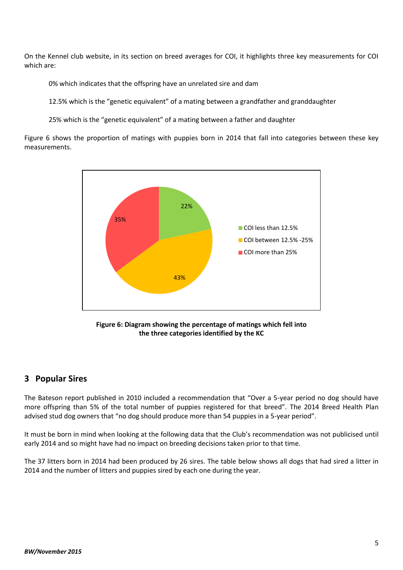On the Kennel club website, in its section on breed averages for COI, it highlights three key measurements for COI which are:

0% which indicates that the offspring have an unrelated sire and dam

12.5% which is the "genetic equivalent" of a mating between a grandfather and granddaughter

25% which is the "genetic equivalent" of a mating between a father and daughter

Figure 6 shows the proportion of matings with puppies born in 2014 that fall into categories between these key measurements.



**Figure 6: Diagram showing the percentage of matings which fell into the three categories identified by the KC**

## **3 Popular Sires**

The Bateson report published in 2010 included a recommendation that "Over a 5-year period no dog should have more offspring than 5% of the total number of puppies registered for that breed". The 2014 Breed Health Plan advised stud dog owners that "no dog should produce more than 54 puppies in a 5-year period".

It must be born in mind when looking at the following data that the Club's recommendation was not publicised until early 2014 and so might have had no impact on breeding decisions taken prior to that time.

The 37 litters born in 2014 had been produced by 26 sires. The table below shows all dogs that had sired a litter in 2014 and the number of litters and puppies sired by each one during the year.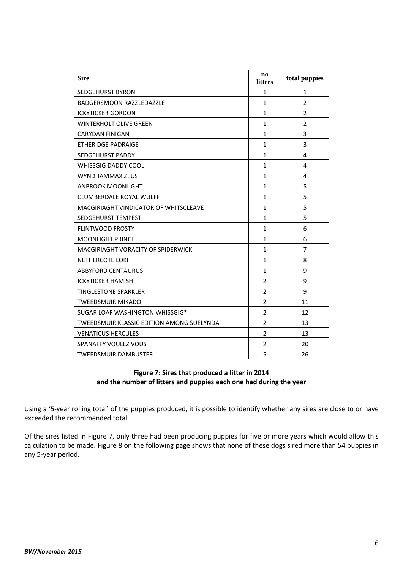| <b>Sire</b>                                      | $\mathbf{n}\mathbf{o}$<br>litters | total puppies           |
|--------------------------------------------------|-----------------------------------|-------------------------|
| <b>SEDGEHURST BYRON</b>                          | 1                                 | 1                       |
| <b>BADGERSMOON RAZZLEDAZZLE</b>                  | $\mathbf{1}$                      | $\overline{2}$          |
| <b>ICKYTICKER GORDON</b>                         | $\mathbf{1}$                      | $\overline{\mathbf{z}}$ |
| <b>WINTERHOLT OLIVE GREEN</b>                    | $\mathbf{1}$                      | $\overline{2}$          |
| <b>CARYDAN FINIGAN</b>                           | $\mathbf{1}$                      | 3                       |
| <b>ETHERIDGE PADRAIGE</b>                        | 1                                 | 3                       |
| <b>SEDGEHURST PADDY</b>                          | $\mathbf{1}$                      | 4                       |
| <b>WHISSGIG DADDY COOL</b>                       | $\mathbf{1}$                      | 4                       |
| WYNDHAMMAX ZEUS                                  | $\mathbf{1}$                      | 4                       |
| <b>ANBROOK MOONLIGHT</b>                         | 1                                 | 5                       |
| <b>CLUMBERDALE ROYAL WULFF</b>                   | $\mathbf{1}$                      | 5                       |
| MACGIRIAGHT VINDICATOR OF WHITSCLEAVE            | $\mathbf{1}$                      | 5                       |
| SEDGEHURST TEMPEST                               | $\mathbf{1}$                      | 5                       |
| <b>FLINTWOOD FROSTY</b>                          | $\mathbf{1}$                      | 6                       |
| <b>MOONLIGHT PRINCE</b>                          | $\mathbf{1}$                      | 6                       |
| MACGIRIAGHT VORACITY OF SPIDERWICK               | 1                                 | $\overline{7}$          |
| <b>NETHERCOTE LOKI</b>                           | $\mathbf{1}$                      | 8                       |
| <b>ABBYFORD CENTAURUS</b>                        | $\mathbf{1}$                      | 9                       |
| <b>ICKYTICKER HAMISH</b>                         | $\overline{2}$                    | 9                       |
| <b>TINGLESTONE SPARKLER</b>                      | $\overline{2}$                    | 9                       |
| <b>TWEEDSMUIR MIKADO</b>                         | $\overline{2}$                    | 11                      |
| SUGAR LOAF WASHINGTON WHISSGIG*                  | $\overline{2}$                    | 12                      |
| <b>TWEEDSMUIR KLASSIC EDITION AMONG SUELYNDA</b> | $\overline{2}$                    | 13                      |
| <b>VENATICUS HERCULES</b>                        | $\overline{2}$                    | 13                      |
| <b>SPANAFFY VOULEZ VOUS</b>                      | $\overline{2}$                    | 20                      |
| <b>TWEEDSMUIR DAMBUSTER</b>                      | 5                                 | 26                      |

#### **Figure 7: Sires that produced a litter in 2014 and the number of litters and puppies each one had during the year**

Using a '5-year rolling total' of the puppies produced, it is possible to identify whether any sires are close to or have exceeded the recommended total.

Of the sires listed in Figure 7, only three had been producing puppies for five or more years which would allow this calculation to be made. Figure 8 on the following page shows that none of these dogs sired more than 54 puppies in any 5-year period.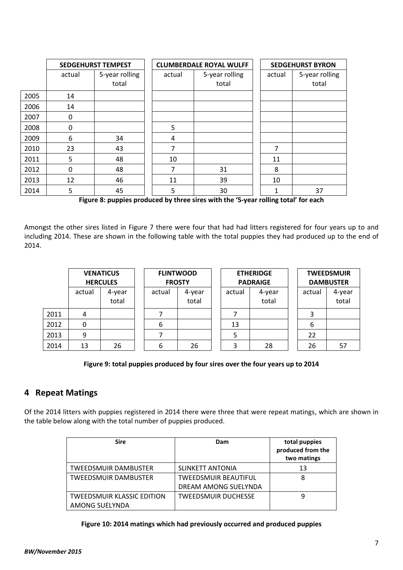|      |          | <b>SEDGEHURST TEMPEST</b> |        | <b>CLUMBERDALE ROYAL WULFF</b> | <b>SEDGEHURST BYRON</b> |                         |  |  |
|------|----------|---------------------------|--------|--------------------------------|-------------------------|-------------------------|--|--|
|      | actual   | 5-year rolling<br>total   | actual | 5-year rolling<br>total        | actual                  | 5-year rolling<br>total |  |  |
| 2005 | 14       |                           |        |                                |                         |                         |  |  |
| 2006 | 14       |                           |        |                                |                         |                         |  |  |
| 2007 | $\Omega$ |                           |        |                                |                         |                         |  |  |
| 2008 | $\Omega$ |                           | 5      |                                |                         |                         |  |  |
| 2009 | 6        | 34                        | 4      |                                |                         |                         |  |  |
| 2010 | 23       | 43                        | 7      |                                | 7                       |                         |  |  |
| 2011 | 5        | 48                        | 10     |                                | 11                      |                         |  |  |
| 2012 | $\Omega$ | 48                        | 7      | 31                             | 8                       |                         |  |  |
| 2013 | 12       | 46                        | 11     | 39                             | 10                      |                         |  |  |
| 2014 | 5        | 45                        | 5      | 30                             | 1                       | 37                      |  |  |

**Figure 8: puppies produced by three sires with the '5-year rolling total' for each**

Amongst the other sires listed in Figure 7 there were four that had had litters registered for four years up to and including 2014. These are shown in the following table with the total puppies they had produced up to the end of 2014.

|      | <b>VENATICUS</b><br><b>HERCULES</b> |                 | <b>FLINTWOOD</b><br><b>FROSTY</b> |                 | <b>ETHERIDGE</b><br><b>PADRAIGE</b> |                 |  | <b>TWEEDSMUIR</b><br><b>DAMBUSTER</b> |                 |  |
|------|-------------------------------------|-----------------|-----------------------------------|-----------------|-------------------------------------|-----------------|--|---------------------------------------|-----------------|--|
|      | actual                              | 4-year<br>total | actual                            | 4-year<br>total | actual                              | 4-year<br>total |  | actual                                | 4-year<br>total |  |
| 2011 | 4                                   |                 |                                   |                 |                                     |                 |  |                                       |                 |  |
| 2012 | 0                                   |                 | 6                                 |                 | 13                                  |                 |  | b                                     |                 |  |
| 2013 | 9                                   |                 |                                   |                 |                                     |                 |  | 22                                    |                 |  |
| 2014 | 13                                  | 26              | 6                                 | 26              | ∍                                   | 28              |  | 26                                    | 57              |  |

#### **Figure 9: total puppies produced by four sires over the four years up to 2014**

### **4 Repeat Matings**

Of the 2014 litters with puppies registered in 2014 there were three that were repeat matings, which are shown in the table below along with the total number of puppies produced.

| <b>Sire</b>                       | Dam                         | total puppies<br>produced from the<br>two matings |
|-----------------------------------|-----------------------------|---------------------------------------------------|
| <b>TWEEDSMUIR DAMBUSTER</b>       | <b>SLINKETT ANTONIA</b>     | 13                                                |
| <b>TWEEDSMUIR DAMBUSTER</b>       | <b>TWEEDSMUIR BEAUTIFUL</b> | 8                                                 |
|                                   | DREAM AMONG SUELYNDA        |                                                   |
| <b>TWEEDSMUIR KLASSIC EDITION</b> | <b>TWEEDSMUIR DUCHESSE</b>  | 9                                                 |
| AMONG SUELYNDA                    |                             |                                                   |

#### **Figure 10: 2014 matings which had previously occurred and produced puppies**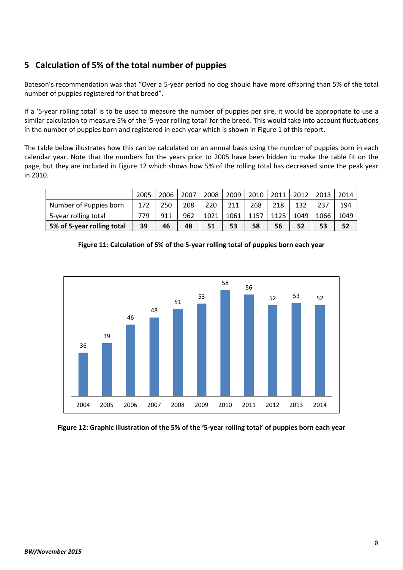# **5 Calculation of 5% of the total number of puppies**

Bateson's recommendation was that "Over a 5-year period no dog should have more offspring than 5% of the total number of puppies registered for that breed".

If a '5-year rolling total' is to be used to measure the number of puppies per sire, it would be appropriate to use a similar calculation to measure 5% of the '5-year rolling total' for the breed. This would take into account fluctuations in the number of puppies born and registered in each year which is shown in Figure 1 of this report.

The table below illustrates how this can be calculated on an annual basis using the number of puppies born in each calendar year. Note that the numbers for the years prior to 2005 have been hidden to make the table fit on the page, but they are included in Figure 12 which shows how 5% of the rolling total has decreased since the peak year in 2010.

|                            | 2005 | 2006 | 2007 | 2008 | 2009 | 2010 | 2011 | 2012 | 2013 | 2014 |
|----------------------------|------|------|------|------|------|------|------|------|------|------|
| Number of Puppies born     | 172  | 250  | 208  | 220  | 211  | 268  | 218  | 132  | 237  | 194  |
| 5-year rolling total       | 779  | 911  | 962  | 1021 | 1061 | 1157 | 1125 | 1049 | 1066 | 1049 |
| 5% of 5-year rolling total | 39   | 46   | 48   | 51   | 53   | 58   | 56   | 52   | 53   | 52   |

**Figure 11: Calculation of 5% of the 5-year rolling total of puppies born each year**



**Figure 12: Graphic illustration of the 5% of the '5-year rolling total' of puppies born each year**